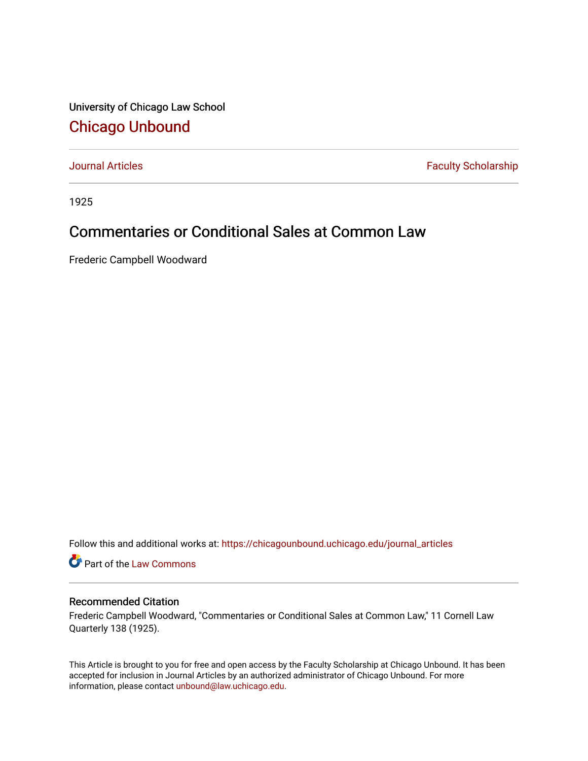University of Chicago Law School [Chicago Unbound](https://chicagounbound.uchicago.edu/)

[Journal Articles](https://chicagounbound.uchicago.edu/journal_articles) **Faculty Scholarship Faculty Scholarship** 

1925

## Commentaries or Conditional Sales at Common Law

Frederic Campbell Woodward

Follow this and additional works at: [https://chicagounbound.uchicago.edu/journal\\_articles](https://chicagounbound.uchicago.edu/journal_articles?utm_source=chicagounbound.uchicago.edu%2Fjournal_articles%2F9012&utm_medium=PDF&utm_campaign=PDFCoverPages) 

Part of the [Law Commons](http://network.bepress.com/hgg/discipline/578?utm_source=chicagounbound.uchicago.edu%2Fjournal_articles%2F9012&utm_medium=PDF&utm_campaign=PDFCoverPages)

## Recommended Citation

Frederic Campbell Woodward, "Commentaries or Conditional Sales at Common Law," 11 Cornell Law Quarterly 138 (1925).

This Article is brought to you for free and open access by the Faculty Scholarship at Chicago Unbound. It has been accepted for inclusion in Journal Articles by an authorized administrator of Chicago Unbound. For more information, please contact [unbound@law.uchicago.edu](mailto:unbound@law.uchicago.edu).